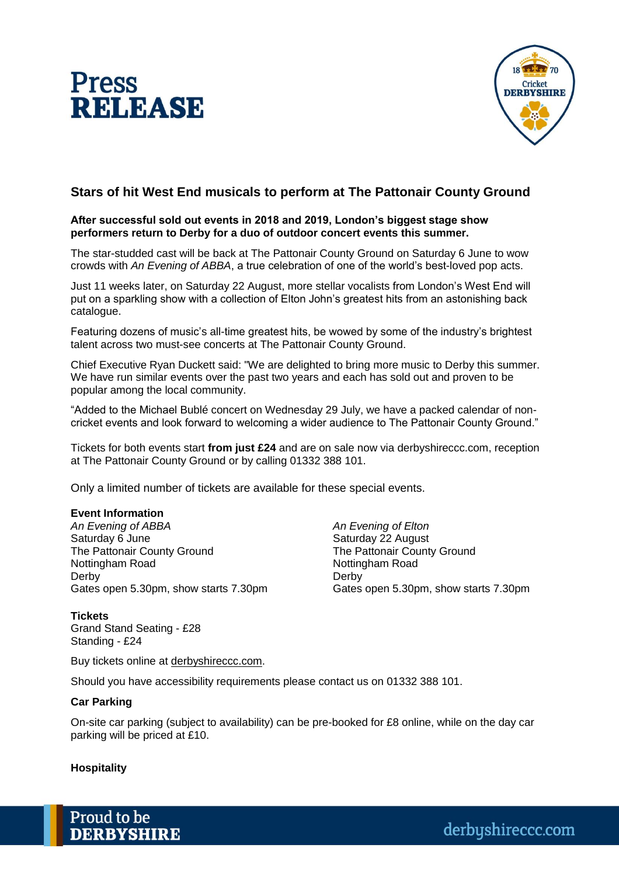



# **Stars of hit West End musicals to perform at The Pattonair County Ground**

#### **After successful sold out events in 2018 and 2019, London's biggest stage show performers return to Derby for a duo of outdoor concert events this summer.**

The star-studded cast will be back at The Pattonair County Ground on Saturday 6 June to wow crowds with *An Evening of ABBA*, a true celebration of one of the world's best-loved pop acts.

Just 11 weeks later, on Saturday 22 August, more stellar vocalists from London's West End will put on a sparkling show with a collection of Elton John's greatest hits from an astonishing back catalogue.

Featuring dozens of music's all-time greatest hits, be wowed by some of the industry's brightest talent across two must-see concerts at The Pattonair County Ground.

Chief Executive Ryan Duckett said: "We are delighted to bring more music to Derby this summer. We have run similar events over the past two years and each has sold out and proven to be popular among the local community.

"Added to the Michael Bublé concert on Wednesday 29 July, we have a packed calendar of noncricket events and look forward to welcoming a wider audience to The Pattonair County Ground."

Tickets for both events start **from just £24** and are on sale now via derbyshireccc.com, reception at The Pattonair County Ground or by calling 01332 388 101.

Only a limited number of tickets are available for these special events.

## **Event Information**

*An Evening of ABBA An Evening of Elton* Saturday 6 June Saturday 22 August The Pattonair County Ground The Pattonair County Ground Nottingham Road Nottingham Road Derby Derby

Gates open 5.30pm, show starts 7.30pm Gates open 5.30pm, show starts 7.30pm

**Tickets** Grand Stand Seating - £28 Standing - £24

Buy tickets online at derbyshireccc.com.

Should you have accessibility requirements please contact us on 01332 388 101.

## **Car Parking**

On-site car parking (subject to availability) can be pre-booked for £8 online, while on the day car parking will be priced at £10.

## **Hospitality**

Proud to be **DERBYSHIRE**